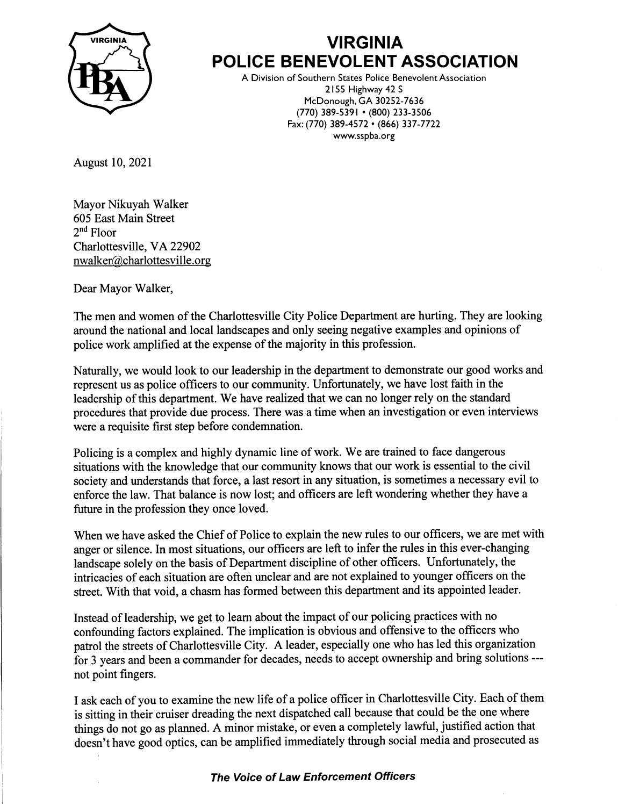

## **VIRGINIA** POLICE BENEVOLENT ASSOCIATION

A Division of Southern States Police Benevolent Association 2155 Highway 42 <sup>S</sup> McDonough, GA 30252-7636 (770) 389-s39r . (800) 233-3s06 Fax: (770) 389-4572 . (866) 337-7722 www.sspba.org

August 10,2021

Mayor Nikuyah Walker 605 East Main Street 2nd Floor Charlottesville, VA 22902 nwalker@charlottesville. org

Dear Mayor Walker,

The men and women of the Charlottesville City Police Department are hurting. They are looking around the national and local landscapes and only seeing negative examples and opinions of police work amplified at the expense of the majority in this profession.

Naturally, we would look to our leadership in the departnent to demonstrate our good works and represent us as police officers to our community. Unfortunately, we have lost faith in the leadership of this department. We have realized that we can no longer rely on the standard procedures that provide due process. There was a time when an investigation or even interviews werela requisite first step before condemnation.

Policing is a complex and highly dynamic line of work. We are trained to face dangerous situations with the knowledge that our community knows that our work is essential to the civil society and understands that force, a last resort in any situation, is sometimes a necessary evil to enforce the law. That balance is now lost; and officers are left wondering whether they have a future in the profession they once loved.

When we have asked the Chief of Police to explain the new rules to our officers, we are met with anger or silence. In most situations, our officers are left to infer the rules in this ever-changing landscape solely on the basis of Department discipline of other officers. Unfortunately, the intricacies of each situation are often unclear and are not explained to younger offrcers on the street. With that void, a chasm has formed between this department and its appointed leader.

Instead of leadership, we get to leam about the impact of our policing practices with no confounding factors explained. The implication is obvious and offensive to the oflicers who patrol the streets of Charlottesville City. A leader, especially one who has led this organization for 3 years and been a commander for decades, needs to accept ownership and bring solutions -- not point fingers.

I ask each of you to examine the new life of a police officer in Charlottesville City. Each of them is sitting in their cruiser dreading the next dispatched call because that could be the one where things do not go as planned. A minor mistake, or even a completely lawful, justified action that doesn't have good optics, can be amplified immediately through social media and prosecuted as

## The Voice of Law Enforcement Officers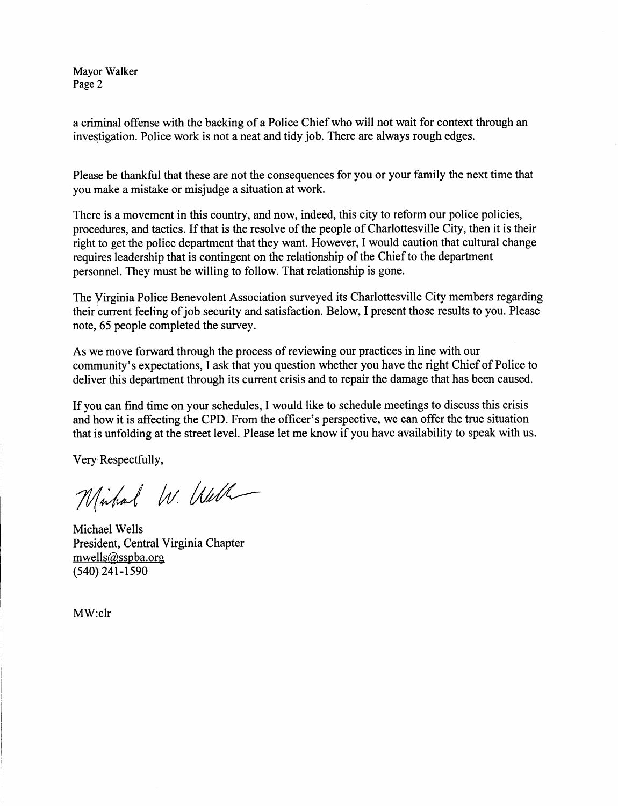Mayor Walker Page 2

a criminal offense with the backing of a Police Chief who will not wait for context through an investigation. Police work is not a neat and tidy job. There are always rough edges.

Please be thankful that these are not the consequences for you or your family the next time that you make a mistake or misjudge a situation at work.

There is a movement in this country, and now, indeed, this city to reform our police policies, procedures, and tactics. If that is the resolve of the people of Charlottesville City, then it is their right to get the police department that they want. However, I would caution that cultural change requires leadership that is contingent on the relationship of the Chief to the department personnel. They must be willing to follow. That relationship is gone.

The Virginia Police Benevolent Association surveyed its Charlottesville City members regarding their current feeling of job security and satisfaction. Below, I present those results to you. Please note, 65 people completed the survey.

As we move forward through the process of reviewing our practices in line with our community's expectations, I ask that you question whether you have the right Chief of Police to deliver this departrnent through its current crisis and to repair the damage that has been caused.

If you can find time on your schedules, I would like to schedule meetings to discuss this crisis and how it is affecting the CPD. From the officer's perspective, we can offer the true situation that is unfolding at the street level. Please let me know if you have availability to speak with us.

Very Respectfully,

Mirhal W. Well

Michael Wells President, Central Virginia Chapter mwells@sspba.org  $(540)$  241-1590

MW:clr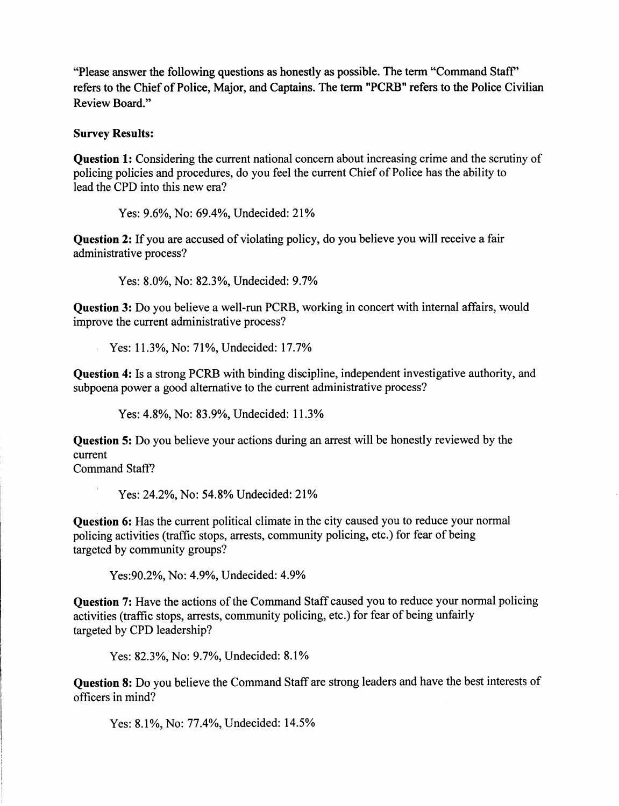'?lease answer the following questions as honestly as possible. The term "Command Staff' refers to the Chief of Police, Major, and Captains. The term "PCRB" refers to the Police Civilian Review Board."

## Survey Results:

Question 1: Considering the current national concern about increasing crime and the scrutiny of policing policies and procedures, do you feel the current Chief of Police has the ability to lead the CPD into this new era?

Yes: 9.6%, No: 69.4%, Undecided: 21%

Question 2: If you are accused of violating policy, do you believe you will receive a fair administative process?

Yes: 8.0%, No: 82.3%, Undecided: 9.7%

Question 3: Do you believe a well-run PCRB, working in concert with intemal affairs, would improve the current administrative process?

Yes: 11.3%, No: 71%, Undecided: 17.7%

Question 4: Is a strong PCRB with binding discipline, independent investigative authority, and subpoena power a good altemative to the current administrative process?

Yes: 4.8%, No: 83.9%, Undecided: 11.3%

Question 5: Do you believe your actions during an arrest will be honestly reviewed by the current

Command Staff?

Yes: 24.2%, No: 54.8% Undecided: 21%

Question 6: Has the current political climate in the city caused you to reduce your normal policing activities (traffic stops, arrests, community policing, etc.) for fear of being targeted by community groups?

Yes: 90.2%, No: 4.9%, Undecided: 4.9%

Question 7: Have the actions of the Command Staff caused you to reduce your normal policing activities (traffic stops, arrests, community policing, etc.) for fear of being unfairly targeted by CPD leadership?

Yes: 82.3%, No: 9.7%, Undecided: 8.1%

Question 8: Do you believe the Command Staff are strong leaders and have the best interests of officers in mind?

Yes: 8.1%, No: 77.4%, Undecided: 14.5%